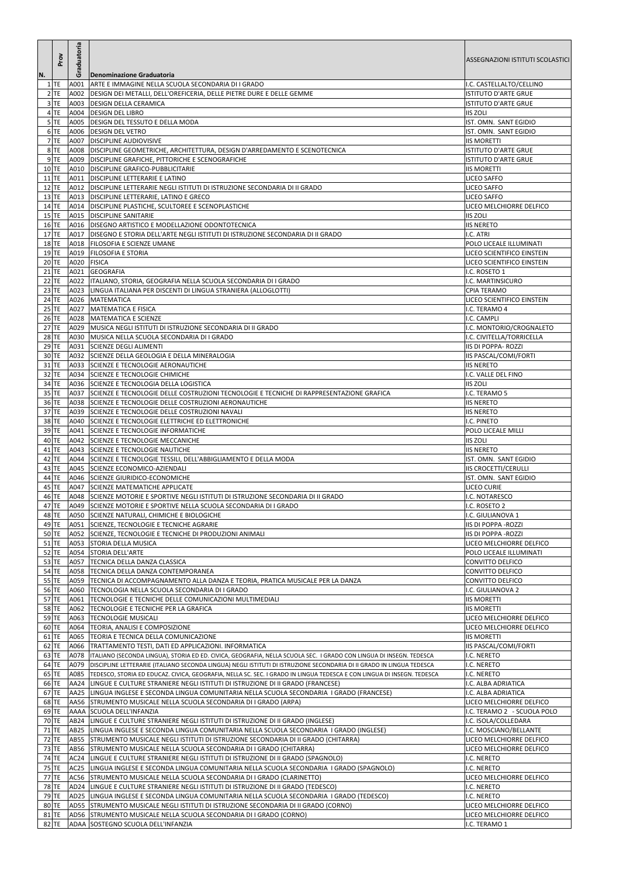| N. | Prov             | Graduatoria      | <b>Denominazione Graduatoria</b>                                                                                                                                                  | ASSEGNAZIONI ISTITUTI SCOLASTICI                     |
|----|------------------|------------------|-----------------------------------------------------------------------------------------------------------------------------------------------------------------------------------|------------------------------------------------------|
|    | $1$ TE           |                  | A001 ARTE E IMMAGINE NELLA SCUOLA SECONDARIA DI I GRADO                                                                                                                           | I.C. CASTELLALTO/CELLINO                             |
|    | $2$ TE           |                  | A002 DESIGN DEI METALLI, DELL'OREFICERIA, DELLE PIETRE DURE E DELLE GEMME                                                                                                         | <b>ISTITUTO D'ARTE GRUE</b>                          |
|    | $3$ TE           |                  | A003 DESIGN DELLA CERAMICA                                                                                                                                                        | <b>ISTITUTO D'ARTE GRUE</b>                          |
|    | 4 TE             |                  | A004   DESIGN DEL LIBRO                                                                                                                                                           | <b>IIS ZOLI</b>                                      |
|    | $5$ TE           |                  | A005 DESIGN DEL TESSUTO E DELLA MODA                                                                                                                                              | IST. OMN. SANT EGIDIO                                |
|    | 6 TE             |                  | A006   DESIGN DEL VETRO                                                                                                                                                           | IST. OMN. SANT EGIDIO                                |
|    | 7 TE             |                  | A007 DISCIPLINE AUDIOVISIVE                                                                                                                                                       | <b>IIS MORETTI</b>                                   |
|    | 8 TE             |                  | A008   DISCIPLINE GEOMETRICHE, ARCHITETTURA, DESIGN D'ARREDAMENTO E SCENOTECNICA                                                                                                  | <b>ISTITUTO D'ARTE GRUE</b>                          |
|    | 9 TE             |                  | A009   DISCIPLINE GRAFICHE, PITTORICHE E SCENOGRAFICHE                                                                                                                            | <b>ISTITUTO D'ARTE GRUE</b>                          |
|    | $10$ TE          |                  | A010 DISCIPLINE GRAFICO-PUBBLICITARIE                                                                                                                                             | <b>IIS MORETTI</b>                                   |
|    | $11$ TE          |                  | A011   DISCIPLINE LETTERARIE E LATINO                                                                                                                                             | <b>LICEO SAFFO</b>                                   |
|    | $12$ TE          |                  | A012   DISCIPLINE LETTERARIE NEGLI ISTITUTI DI ISTRUZIONE SECONDARIA DI II GRADO                                                                                                  | <b>LICEO SAFFO</b>                                   |
|    | $13$ TE          |                  | A013   DISCIPLINE LETTERARIE, LATINO E GRECO                                                                                                                                      | <b>LICEO SAFFO</b>                                   |
|    | 14 TE            |                  | A014   DISCIPLINE PLASTICHE, SCULTOREE E SCENOPLASTICHE                                                                                                                           | LICEO MELCHIORRE DELFICO                             |
|    | $15$ TE          |                  | A015   DISCIPLINE SANITARIE                                                                                                                                                       | <b>IIS ZOLI</b>                                      |
|    | $16$ TE          |                  | A016   DISEGNO ARTISTICO E MODELLAZIONE ODONTOTECNICA                                                                                                                             | <b>IIS NERETO</b>                                    |
|    | $17$ TE<br>18 TE |                  | A017  DISEGNO E STORIA DELL'ARTE NEGLI ISTITUTI DI ISTRUZIONE SECONDARIA DI II GRADO<br>A018   FILOSOFIA E SCIENZE UMANE                                                          | I.C. ATRI<br>POLO LICEALE ILLUMINATI                 |
|    | $19$ TE          |                  | A019   FILOSOFIA E STORIA                                                                                                                                                         | LICEO SCIENTIFICO EINSTEIN                           |
|    | 20 TE            | A020 FISICA      |                                                                                                                                                                                   | LICEO SCIENTIFICO EINSTEIN                           |
|    | $21$ TE          |                  | A021 GEOGRAFIA                                                                                                                                                                    | I.C. ROSETO 1                                        |
|    | $22$ TE          |                  | A022  ITALIANO, STORIA, GEOGRAFIA NELLA SCUOLA SECONDARIA DI I GRADO                                                                                                              | I.C. MARTINSICURO                                    |
|    | $23$ TE          |                  | A023 LINGUA ITALIANA PER DISCENTI DI LINGUA STRANIERA (ALLOGLOTTI)                                                                                                                | <b>CPIA TERAMO</b>                                   |
|    | 24 TE            |                  | A026   MATEMATICA                                                                                                                                                                 | LICEO SCIENTIFICO EINSTEIN                           |
|    | $25$ TE          |                  | A027   MATEMATICA E FISICA                                                                                                                                                        | I.C. TERAMO 4                                        |
|    | $26$ TE          |                  | A028   MATEMATICA E SCIENZE                                                                                                                                                       | I.C. CAMPLI                                          |
|    | $27$ TE          |                  | A029   MUSICA NEGLI ISTITUTI DI ISTRUZIONE SECONDARIA DI II GRADO                                                                                                                 | I.C. MONTORIO/CROGNALETO                             |
|    | $28$ TE          |                  | A030 MUSICA NELLA SCUOLA SECONDARIA DI I GRADO                                                                                                                                    | I.C. CIVITELLA/TORRICELLA                            |
|    | $29$ TE          |                  | A031 SCIENZE DEGLI ALIMENTI                                                                                                                                                       | IIS DI POPPA- ROZZI                                  |
|    | $30$ TE          |                  | A032 SCIENZE DELLA GEOLOGIA E DELLA MINERALOGIA                                                                                                                                   | IIS PASCAL/COMI/FORTI                                |
|    | $31$ TE          |                  | A033 SCIENZE E TECNOLOGIE AERONAUTICHE                                                                                                                                            | <b>IIS NERETO</b>                                    |
|    | 32 TE            |                  | A034 SCIENZE E TECNOLOGIE CHIMICHE                                                                                                                                                | I.C. VALLE DEL FINO                                  |
|    | 34 TE            |                  | A036 SSCIENZE E TECNOLOGIA DELLA LOGISTICA                                                                                                                                        | <b>IIS ZOLI</b>                                      |
|    | 35 TE            |                  | A037 SCIENZE E TECNOLOGIE DELLE COSTRUZIONI TECNOLOGIE E TECNICHE DI RAPPRESENTAZIONE GRAFICA                                                                                     | I.C. TERAMO 5                                        |
|    | 36 TE            |                  | A038 SCIENZE E TECNOLOGIE DELLE COSTRUZIONI AERONAUTICHE                                                                                                                          | <b>IIS NERETO</b>                                    |
|    | 37 TE            |                  | A039 SCIENZE E TECNOLOGIE DELLE COSTRUZIONI NAVALI                                                                                                                                | <b>IIS NERETO</b>                                    |
|    | 38 TE            |                  | A040 SCIENZE E TECNOLOGIE ELETTRICHE ED ELETTRONICHE                                                                                                                              | I.C. PINETO                                          |
|    | $39$ TE          |                  | A041 SCIENZE E TECNOLOGIE INFORMATICHE                                                                                                                                            | <b>POLO LICEALE MILLI</b>                            |
|    | 40 TE<br>$41$ TE | A043             | A042 SCIENZE E TECNOLOGIE MECCANICHE<br>SCIENZE E TECNOLOGIE NAUTICHE                                                                                                             | <b>IIS ZOLI</b><br><b>IIS NERETO</b>                 |
|    | 42 TE            | A044             | SCIENZE E TECNOLOGIE TESSILI, DELL'ABBIGLIAMENTO E DELLA MODA                                                                                                                     | IST. OMN. SANT EGIDIO                                |
|    | 43 TE            | A045             | SCIENZE ECONOMICO-AZIENDALI                                                                                                                                                       | <b>IIS CROCETTI/CERULLI</b>                          |
|    | 44 TE            |                  | A046 SCIENZE GIURIDICO-ECONOMICHE                                                                                                                                                 | IST. OMN. SANT EGIDIO                                |
|    | $45$ TE          | A047             | SCIENZE MATEMATICHE APPLICATE                                                                                                                                                     | LICEO CURIE                                          |
|    | 46 TE            |                  | A048 SCIENZE MOTORIE E SPORTIVE NEGLI ISTITUTI DI ISTRUZIONE SECONDARIA DI II GRADO                                                                                               | I.C. NOTARESCO                                       |
|    | 47 TE            |                  | A049 SCIENZE MOTORIE E SPORTIVE NELLA SCUOLA SECONDARIA DI I GRADO                                                                                                                | I.C. ROSETO 2                                        |
|    | 48 TE            |                  | A050 SCIENZE NATURALI, CHIMICHE E BIOLOGICHE                                                                                                                                      | I.C. GIULIANOVA 1                                    |
|    | 49 TE            |                  | A051 SCIENZE, TECNOLOGIE E TECNICHE AGRARIE                                                                                                                                       | <b>IIS DI POPPA - ROZZI</b>                          |
|    | 50 TE            |                  | A052 SCIENZE, TECNOLOGIE E TECNICHE DI PRODUZIONI ANIMALI                                                                                                                         | <b>IIS DI POPPA - ROZZI</b>                          |
|    | $51$ TE          | A053             | <b>STORIA DELLA MUSICA</b>                                                                                                                                                        | LICEO MELCHIORRE DELFICO                             |
|    | 52 TE            |                  | A054 STORIA DELL'ARTE                                                                                                                                                             | POLO LICEALE ILLUMINATI                              |
|    | $53$ TE          | A057             | TECNICA DELLA DANZA CLASSICA                                                                                                                                                      | <b>CONVITTO DELFICO</b>                              |
|    | 54 TE            | A058             | TECNICA DELLA DANZA CONTEMPORANEA                                                                                                                                                 | <b>CONVITTO DELFICO</b>                              |
|    | $55$ TE          | A059             | TECNICA DI ACCOMPAGNAMENTO ALLA DANZA E TEORIA, PRATICA MUSICALE PER LA DANZA                                                                                                     | <b>CONVITTO DELFICO</b>                              |
|    | 56 TE            | A060             | TECNOLOGIA NELLA SCUOLA SECONDARIA DI I GRADO                                                                                                                                     | I.C. GIULIANOVA 2                                    |
|    | 57 TE<br>58 TE   | A061<br>A062     | TECNOLOGIE E TECNICHE DELLE COMUNICAZIONI MULTIMEDIALI<br>TECNOLOGIE E TECNICHE PER LA GRAFICA                                                                                    | <b>IIS MORETTI</b><br><b>IIS MORETTI</b>             |
|    | 59 TE            | A063             | <b>TECNOLOGIE MUSICALI</b>                                                                                                                                                        | LICEO MELCHIORRE DELFICO                             |
|    | 60 TE            | A064             | TEORIA, ANALISI E COMPOSIZIONE                                                                                                                                                    | LICEO MELCHIORRE DELFICO                             |
|    | 61 TE            | A065             | TEORIA E TECNICA DELLA COMUNICAZIONE                                                                                                                                              | <b>IIS MORETTI</b>                                   |
|    | 62 TE            | A066             | TRATTAMENTO TESTI, DATI ED APPLICAZIONI. INFORMATICA                                                                                                                              | IIS PASCAL/COMI/FORTI                                |
|    | $63$ TE          |                  | A078  ITALIANO (SECONDA LINGUA), STORIA ED ED. CIVICA, GEOGRAFIA, NELLA SCUOLA SEC. I GRADO CON LINGUA DI INSEGN. TEDESCA                                                         | I.C. NERETO                                          |
|    | 64 TE            |                  | A079 DISCIPLINE LETTERARIE (ITALIANO SECONDA LINGUA) NEGLI ISTITUTI DI ISTRUZIONE SECONDARIA DI II GRADO IN LINGUA TEDESCA                                                        | I.C. NERETO                                          |
|    | 65 TE            | A085             | TEDESCO, STORIA ED EDUCAZ. CIVICA, GEOGRAFIA, NELLA SC. SEC. I GRADO IN LINGUA TEDESCA E CON LINGUA DI INSEGN. TEDESCA                                                            | I.C. NERETO                                          |
|    | 66 TE            |                  | AA24  LINGUE E CULTURE STRANIERE NEGLI ISTITUTI DI ISTRUZIONE DI II GRADO (FRANCESE)                                                                                              | I.C. ALBA ADRIATICA                                  |
|    | 67 TE            |                  | AA25  LINGUA INGLESE E SECONDA LINGUA COMUNITARIA NELLA SCUOLA SECONDARIA I GRADO (FRANCESE)                                                                                      | I.C. ALBA ADRIATICA                                  |
|    | 68 TE            |                  | AA56 STRUMENTO MUSICALE NELLA SCUOLA SECONDARIA DI I GRADO (ARPA)                                                                                                                 | LICEO MELCHIORRE DELFICO                             |
|    | 69 TE            |                  | AAAA SCUOLA DELL'INFANZIA                                                                                                                                                         | I.C. TERAMO 2 - SCUOLA POLO                          |
|    | 70 TE            |                  | AB24 LINGUE E CULTURE STRANIERE NEGLI ISTITUTI DI ISTRUZIONE DI II GRADO (INGLESE)                                                                                                | I.C. ISOLA/COLLEDARA                                 |
|    | $71$ TE          | AB25             | LINGUA INGLESE E SECONDA LINGUA COMUNITARIA NELLA SCUOLA SECONDARIA I GRADO (INGLESE)                                                                                             | I.C. MOSCIANO/BELLANTE                               |
|    | 72 TE            |                  | AB55 STRUMENTO MUSICALE NEGLI ISTITUTI DI ISTRUZIONE SECONDARIA DI II GRADO (CHITARRA)                                                                                            | LICEO MELCHIORRE DELFICO                             |
|    | $73$ TE          |                  | AB56 STRUMENTO MUSICALE NELLA SCUOLA SECONDARIA DI I GRADO (CHITARRA)                                                                                                             | LICEO MELCHIORRE DELFICO                             |
|    | 74 TE            |                  | AC24  LINGUE E CULTURE STRANIERE NEGLI ISTITUTI DI ISTRUZIONE DI II GRADO (SPAGNOLO)                                                                                              | I.C. NERETO                                          |
|    | 75 TE            | AC25             | LINGUA INGLESE E SECONDA LINGUA COMUNITARIA NELLA SCUOLA SECONDARIA  I GRADO (SPAGNOLO)                                                                                           | I.C. NERETO                                          |
|    | 77 TE            | AC56             | STRUMENTO MUSICALE NELLA SCUOLA SECONDARIA DI I GRADO (CLARINETTO)                                                                                                                | LICEO MELCHIORRE DELFICO                             |
|    | 78 TE            | AD <sub>24</sub> | LINGUE E CULTURE STRANIERE NEGLI ISTITUTI DI ISTRUZIONE DI II GRADO (TEDESCO)                                                                                                     | I.C. NERETO                                          |
|    | 79 TE<br>80 TE   |                  | AD25 LINGUA INGLESE E SECONDA LINGUA COMUNITARIA NELLA SCUOLA SECONDARIA I GRADO (TEDESCO)<br>AD55 STRUMENTO MUSICALE NEGLI ISTITUTI DI ISTRUZIONE SECONDARIA DI II GRADO (CORNO) | I.C. NERETO                                          |
|    | 81 TE            |                  | AD56 STRUMENTO MUSICALE NELLA SCUOLA SECONDARIA DI I GRADO (CORNO)                                                                                                                | LICEO MELCHIORRE DELFICO<br>LICEO MELCHIORRE DELFICO |
|    | 82 TE            |                  | ADAA SOSTEGNO SCUOLA DELL'INFANZIA                                                                                                                                                | I.C. TERAMO 1                                        |